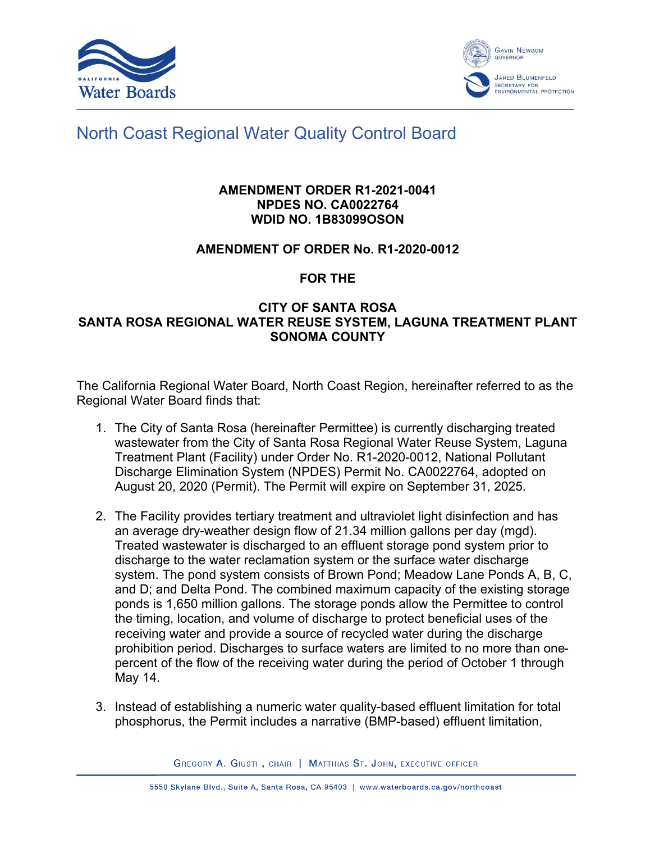



# North Coast Regional Water Quality Control Board

## **AMENDMENT ORDER R1-2021-0041 NPDES NO. CA0022764 WDID NO. 1B83099OSON**

## **AMENDMENT OF ORDER No. R1-2020-0012**

## **FOR THE**

## **CITY OF SANTA ROSA SANTA ROSA REGIONAL WATER REUSE SYSTEM, LAGUNA TREATMENT PLANT SONOMA COUNTY**

The California Regional Water Board, North Coast Region, hereinafter referred to as the Regional Water Board finds that:

- 1. The City of Santa Rosa (hereinafter Permittee) is currently discharging treated wastewater from the City of Santa Rosa Regional Water Reuse System, Laguna Treatment Plant (Facility) under Order No. R1-2020-0012, National Pollutant Discharge Elimination System (NPDES) Permit No. CA0022764, adopted on August 20, 2020 (Permit). The Permit will expire on September 31, 2025.
- 2. The Facility provides tertiary treatment and ultraviolet light disinfection and has an average dry-weather design flow of 21.34 million gallons per day (mgd). Treated wastewater is discharged to an effluent storage pond system prior to discharge to the water reclamation system or the surface water discharge system. The pond system consists of Brown Pond; Meadow Lane Ponds A, B, C, and D; and Delta Pond. The combined maximum capacity of the existing storage ponds is 1,650 million gallons. The storage ponds allow the Permittee to control the timing, location, and volume of discharge to protect beneficial uses of the receiving water and provide a source of recycled water during the discharge prohibition period. Discharges to surface waters are limited to no more than onepercent of the flow of the receiving water during the period of October 1 through May 14.
- 3. Instead of establishing a numeric water quality-based effluent limitation for total phosphorus, the Permit includes a narrative (BMP-based) effluent limitation,

GREGORY A. GIUSTI, CHAIR | MATTHIAS ST. JOHN, EXECUTIVE OFFICER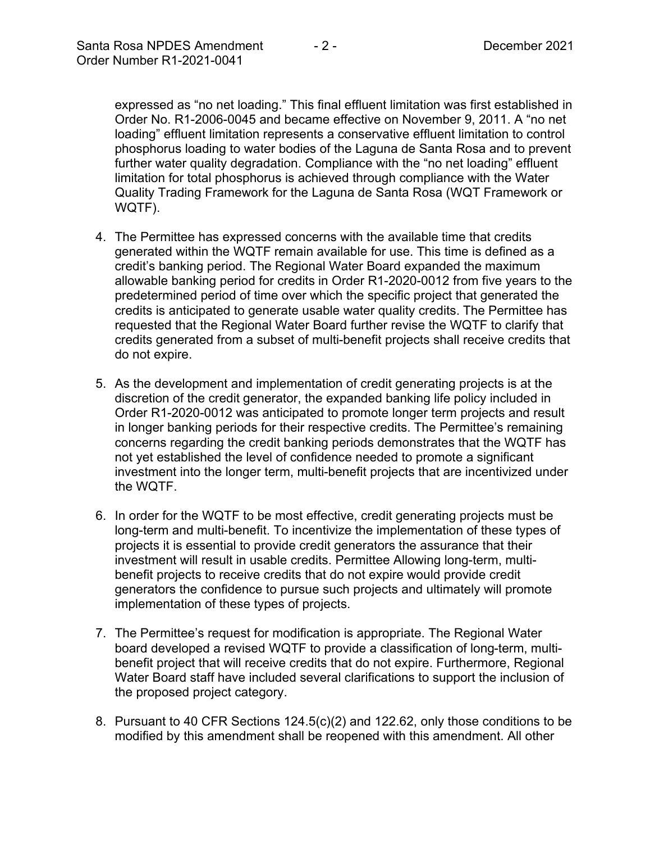expressed as "no net loading." This final effluent limitation was first established in Order No. R1-2006-0045 and became effective on November 9, 2011. A "no net loading" effluent limitation represents a conservative effluent limitation to control phosphorus loading to water bodies of the Laguna de Santa Rosa and to prevent further water quality degradation. Compliance with the "no net loading" effluent limitation for total phosphorus is achieved through compliance with the Water Quality Trading Framework for the Laguna de Santa Rosa (WQT Framework or WQTF).

- 4. The Permittee has expressed concerns with the available time that credits generated within the WQTF remain available for use. This time is defined as a credit's banking period. The Regional Water Board expanded the maximum allowable banking period for credits in Order R1-2020-0012 from five years to the predetermined period of time over which the specific project that generated the credits is anticipated to generate usable water quality credits. The Permittee has requested that the Regional Water Board further revise the WQTF to clarify that credits generated from a subset of multi-benefit projects shall receive credits that do not expire.
- 5. As the development and implementation of credit generating projects is at the discretion of the credit generator, the expanded banking life policy included in Order R1-2020-0012 was anticipated to promote longer term projects and result in longer banking periods for their respective credits. The Permittee's remaining concerns regarding the credit banking periods demonstrates that the WQTF has not yet established the level of confidence needed to promote a significant investment into the longer term, multi-benefit projects that are incentivized under the WQTF.
- 6. In order for the WQTF to be most effective, credit generating projects must be long-term and multi-benefit. To incentivize the implementation of these types of projects it is essential to provide credit generators the assurance that their investment will result in usable credits. Permittee Allowing long-term, multibenefit projects to receive credits that do not expire would provide credit generators the confidence to pursue such projects and ultimately will promote implementation of these types of projects.
- 7. The Permittee's request for modification is appropriate. The Regional Water board developed a revised WQTF to provide a classification of long-term, multibenefit project that will receive credits that do not expire. Furthermore, Regional Water Board staff have included several clarifications to support the inclusion of the proposed project category.
- 8. Pursuant to 40 CFR Sections 124.5(c)(2) and 122.62, only those conditions to be modified by this amendment shall be reopened with this amendment. All other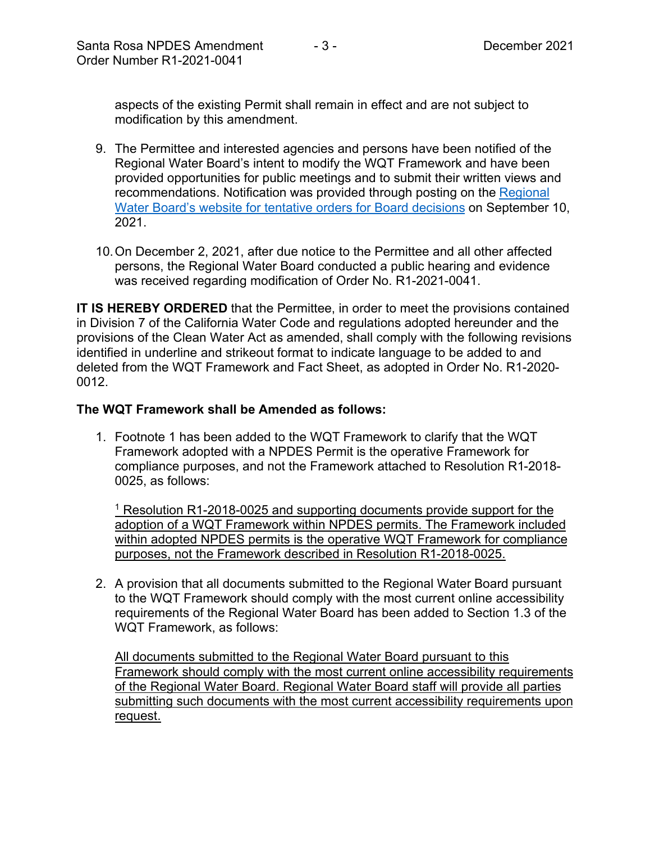aspects of the existing Permit shall remain in effect and are not subject to modification by this amendment.

- 9. The Permittee and interested agencies and persons have been notified of the Regional Water Board's intent to modify the WQT Framework and have been provided opportunities for public meetings and to submit their written views and recommendations. Notification was provided through posting on the Regional [Water Board's website for tentative orders for Board decisions](https://www.waterboards.ca.gov/northcoast/board_decisions/tentative_orders/) on September 10, 2021.
- 10.On December 2, 2021, after due notice to the Permittee and all other affected persons, the Regional Water Board conducted a public hearing and evidence was received regarding modification of Order No. R1-2021-0041.

**IT IS HEREBY ORDERED** that the Permittee, in order to meet the provisions contained in Division 7 of the California Water Code and regulations adopted hereunder and the provisions of the Clean Water Act as amended, shall comply with the following revisions identified in underline and strikeout format to indicate language to be added to and deleted from the WQT Framework and Fact Sheet, as adopted in Order No. R1-2020- 0012.

## **The WQT Framework shall be Amended as follows:**

1. Footnote 1 has been added to the WQT Framework to clarify that the WQT Framework adopted with a NPDES Permit is the operative Framework for compliance purposes, and not the Framework attached to Resolution R1-2018- 0025, as follows:

<sup>1</sup> Resolution R1-2018-0025 and supporting documents provide support for the adoption of a WQT Framework within NPDES permits. The Framework included within adopted NPDES permits is the operative WQT Framework for compliance purposes, not the Framework described in Resolution R1-2018-0025.

2. A provision that all documents submitted to the Regional Water Board pursuant to the WQT Framework should comply with the most current online accessibility requirements of the Regional Water Board has been added to Section 1.3 of the WQT Framework, as follows:

All documents submitted to the Regional Water Board pursuant to this Framework should comply with the most current online accessibility requirements of the Regional Water Board. Regional Water Board staff will provide all parties submitting such documents with the most current accessibility requirements upon request.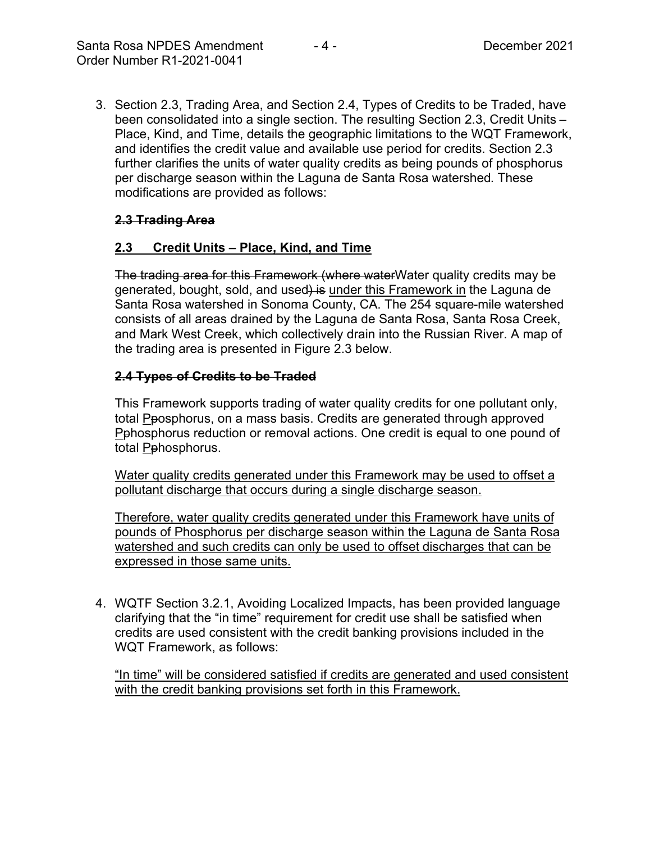3. Section 2.3, Trading Area, and Section 2.4, Types of Credits to be Traded, have been consolidated into a single section. The resulting Section 2.3, Credit Units – Place, Kind, and Time, details the geographic limitations to the WQT Framework, and identifies the credit value and available use period for credits. Section 2.3 further clarifies the units of water quality credits as being pounds of phosphorus per discharge season within the Laguna de Santa Rosa watershed. These modifications are provided as follows:

# **2.3 Trading Area**

## **2.3 Credit Units – Place, Kind, and Time**

The trading area for this Framework (where water Water quality credits may be generated, bought, sold, and used) is under this Framework in the Laguna de Santa Rosa watershed in Sonoma County, CA. The 254 square-mile watershed consists of all areas drained by the Laguna de Santa Rosa, Santa Rosa Creek, and Mark West Creek, which collectively drain into the Russian River. A map of the trading area is presented in Figure 2.3 below.

# **2.4 Types of Credits to be Traded**

This Framework supports trading of water quality credits for one pollutant only, total Pposphorus, on a mass basis. Credits are generated through approved Pphosphorus reduction or removal actions. One credit is equal to one pound of total Pphosphorus.

Water quality credits generated under this Framework may be used to offset a pollutant discharge that occurs during a single discharge season.

Therefore, water quality credits generated under this Framework have units of pounds of Phosphorus per discharge season within the Laguna de Santa Rosa watershed and such credits can only be used to offset discharges that can be expressed in those same units.

4. WQTF Section 3.2.1, Avoiding Localized Impacts, has been provided language clarifying that the "in time" requirement for credit use shall be satisfied when credits are used consistent with the credit banking provisions included in the WQT Framework, as follows:

"In time" will be considered satisfied if credits are generated and used consistent with the credit banking provisions set forth in this Framework.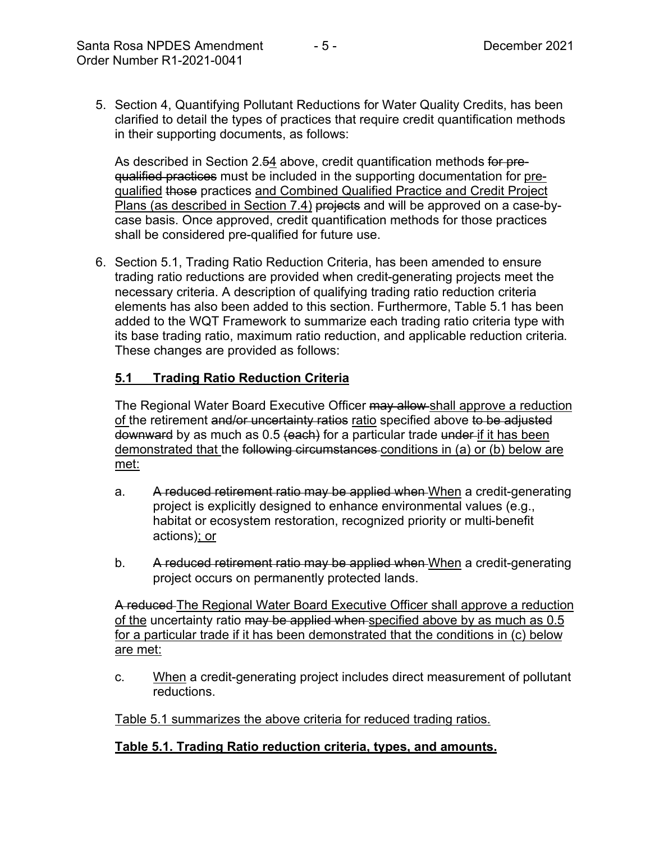5. Section 4, Quantifying Pollutant Reductions for Water Quality Credits, has been clarified to detail the types of practices that require credit quantification methods in their supporting documents, as follows:

As described in Section 2.54 above, credit quantification methods for prequalified practices must be included in the supporting documentation for prequalified those practices and Combined Qualified Practice and Credit Project Plans (as described in Section 7.4) projects and will be approved on a case-bycase basis. Once approved, credit quantification methods for those practices shall be considered pre-qualified for future use.

6. Section 5.1, Trading Ratio Reduction Criteria, has been amended to ensure trading ratio reductions are provided when credit-generating projects meet the necessary criteria. A description of qualifying trading ratio reduction criteria elements has also been added to this section. Furthermore, Table 5.1 has been added to the WQT Framework to summarize each trading ratio criteria type with its base trading ratio, maximum ratio reduction, and applicable reduction criteria. These changes are provided as follows:

## **5.1 Trading Ratio Reduction Criteria**

The Regional Water Board Executive Officer may allow shall approve a reduction of the retirement and/or uncertainty ratios ratio specified above to be adjusted downward by as much as 0.5 (each) for a particular trade under if it has been demonstrated that the following circumstances conditions in (a) or (b) below are met:

- a. A reduced retirement ratio may be applied when When a credit-generating project is explicitly designed to enhance environmental values (e.g., habitat or ecosystem restoration, recognized priority or multi-benefit actions); or
- b. A reduced retirement ratio may be applied when When a credit-generating project occurs on permanently protected lands.

A reduced The Regional Water Board Executive Officer shall approve a reduction of the uncertainty ratio may be applied when specified above by as much as 0.5 for a particular trade if it has been demonstrated that the conditions in (c) below are met:

c. When a credit-generating project includes direct measurement of pollutant reductions.

Table 5.1 summarizes the above criteria for reduced trading ratios.

## **Table 5.1. Trading Ratio reduction criteria, types, and amounts.**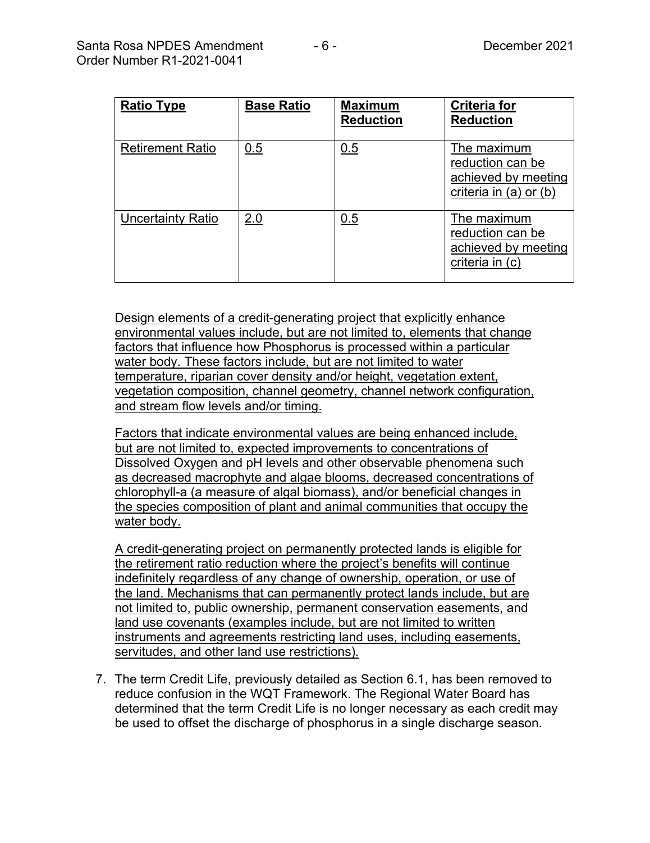| <b>Ratio Type</b>        | <b>Base Ratio</b> | <b>Maximum</b><br><b>Reduction</b> | <b>Criteria for</b><br><b>Reduction</b>                                              |
|--------------------------|-------------------|------------------------------------|--------------------------------------------------------------------------------------|
| <b>Retirement Ratio</b>  | 0.5               | 0.5                                | The maximum<br>reduction can be<br>achieved by meeting<br>criteria in $(a)$ or $(b)$ |
| <b>Uncertainty Ratio</b> | 2.0               | 0.5                                | The maximum<br>reduction can be<br>achieved by meeting<br>criteria in (c)            |

Design elements of a credit-generating project that explicitly enhance environmental values include, but are not limited to, elements that change factors that influence how Phosphorus is processed within a particular water body. These factors include, but are not limited to water temperature, riparian cover density and/or height, vegetation extent, vegetation composition, channel geometry, channel network configuration, and stream flow levels and/or timing.

Factors that indicate environmental values are being enhanced include, but are not limited to, expected improvements to concentrations of Dissolved Oxygen and pH levels and other observable phenomena such as decreased macrophyte and algae blooms, decreased concentrations of chlorophyll-a (a measure of algal biomass), and/or beneficial changes in the species composition of plant and animal communities that occupy the water body.

A credit-generating project on permanently protected lands is eligible for the retirement ratio reduction where the project's benefits will continue indefinitely regardless of any change of ownership, operation, or use of the land. Mechanisms that can permanently protect lands include, but are not limited to, public ownership, permanent conservation easements, and land use covenants (examples include, but are not limited to written instruments and agreements restricting land uses, including easements, servitudes, and other land use restrictions).

7. The term Credit Life, previously detailed as Section 6.1, has been removed to reduce confusion in the WQT Framework. The Regional Water Board has determined that the term Credit Life is no longer necessary as each credit may be used to offset the discharge of phosphorus in a single discharge season.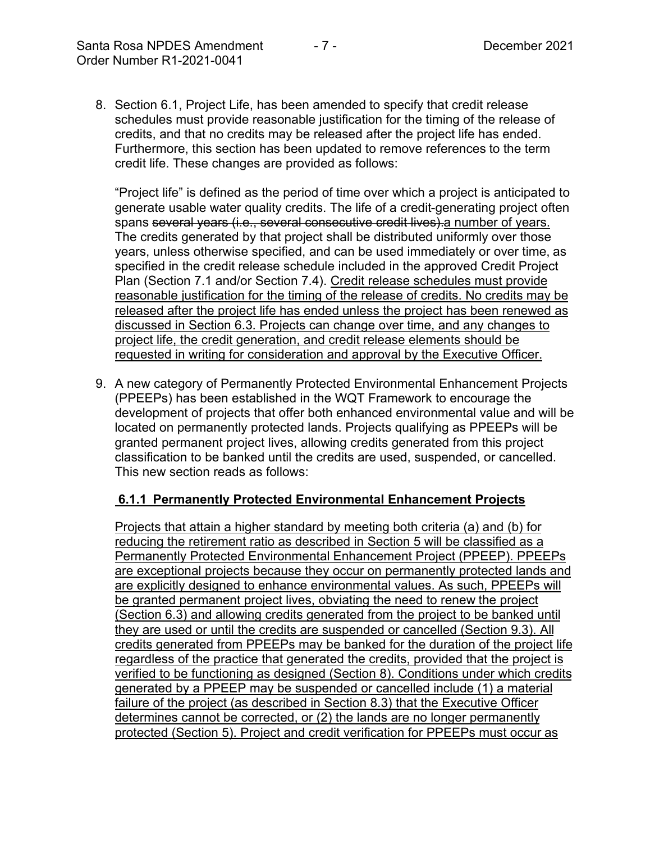8. Section 6.1, Project Life, has been amended to specify that credit release schedules must provide reasonable justification for the timing of the release of credits, and that no credits may be released after the project life has ended. Furthermore, this section has been updated to remove references to the term credit life. These changes are provided as follows:

"Project life" is defined as the period of time over which a project is anticipated to generate usable water quality credits. The life of a credit-generating project often spans several years (i.e., several consecutive credit lives) a number of years. The credits generated by that project shall be distributed uniformly over those years, unless otherwise specified, and can be used immediately or over time, as specified in the credit release schedule included in the approved Credit Project Plan (Section 7.1 and/or Section 7.4). Credit release schedules must provide reasonable justification for the timing of the release of credits. No credits may be released after the project life has ended unless the project has been renewed as discussed in Section 6.3. Projects can change over time, and any changes to project life, the credit generation, and credit release elements should be requested in writing for consideration and approval by the Executive Officer.

9. A new category of Permanently Protected Environmental Enhancement Projects (PPEEPs) has been established in the WQT Framework to encourage the development of projects that offer both enhanced environmental value and will be located on permanently protected lands. Projects qualifying as PPEEPs will be granted permanent project lives, allowing credits generated from this project classification to be banked until the credits are used, suspended, or cancelled. This new section reads as follows:

# **6.1.1 Permanently Protected Environmental Enhancement Projects**

Projects that attain a higher standard by meeting both criteria (a) and (b) for reducing the retirement ratio as described in Section 5 will be classified as a Permanently Protected Environmental Enhancement Project (PPEEP). PPEEPs are exceptional projects because they occur on permanently protected lands and are explicitly designed to enhance environmental values. As such, PPEEPs will be granted permanent project lives, obviating the need to renew the project (Section 6.3) and allowing credits generated from the project to be banked until they are used or until the credits are suspended or cancelled (Section 9.3). All credits generated from PPEEPs may be banked for the duration of the project life regardless of the practice that generated the credits, provided that the project is verified to be functioning as designed (Section 8). Conditions under which credits generated by a PPEEP may be suspended or cancelled include (1) a material failure of the project (as described in Section 8.3) that the Executive Officer determines cannot be corrected, or (2) the lands are no longer permanently protected (Section 5). Project and credit verification for PPEEPs must occur as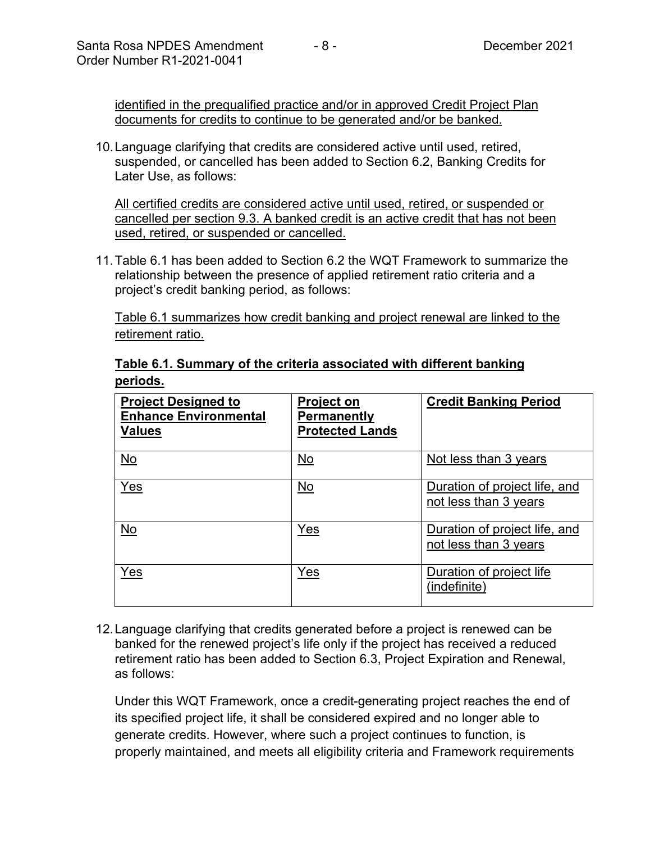identified in the prequalified practice and/or in approved Credit Project Plan documents for credits to continue to be generated and/or be banked.

10.Language clarifying that credits are considered active until used, retired, suspended, or cancelled has been added to Section 6.2, Banking Credits for Later Use, as follows:

All certified credits are considered active until used, retired, or suspended or cancelled per section 9.3. A banked credit is an active credit that has not been used, retired, or suspended or cancelled.

11.Table 6.1 has been added to Section 6.2 the WQT Framework to summarize the relationship between the presence of applied retirement ratio criteria and a project's credit banking period, as follows:

Table 6.1 summarizes how credit banking and project renewal are linked to the retirement ratio.

| <b>Project Designed to</b><br><b>Enhance Environmental</b><br><b>Values</b> | <b>Project on</b><br><b>Permanently</b><br><b>Protected Lands</b> | <b>Credit Banking Period</b>                           |
|-----------------------------------------------------------------------------|-------------------------------------------------------------------|--------------------------------------------------------|
| $\underline{\mathsf{No}}$                                                   | <u>No</u>                                                         | Not less than 3 years                                  |
| Yes                                                                         | No                                                                | Duration of project life, and<br>not less than 3 years |
| No                                                                          | Yes                                                               | Duration of project life, and<br>not less than 3 years |
| Yes                                                                         | Yes                                                               | Duration of project life<br>(indefinite)               |

**Table 6.1. Summary of the criteria associated with different banking periods.**

12.Language clarifying that credits generated before a project is renewed can be banked for the renewed project's life only if the project has received a reduced retirement ratio has been added to Section 6.3, Project Expiration and Renewal, as follows:

Under this WQT Framework, once a credit-generating project reaches the end of its specified project life, it shall be considered expired and no longer able to generate credits. However, where such a project continues to function, is properly maintained, and meets all eligibility criteria and Framework requirements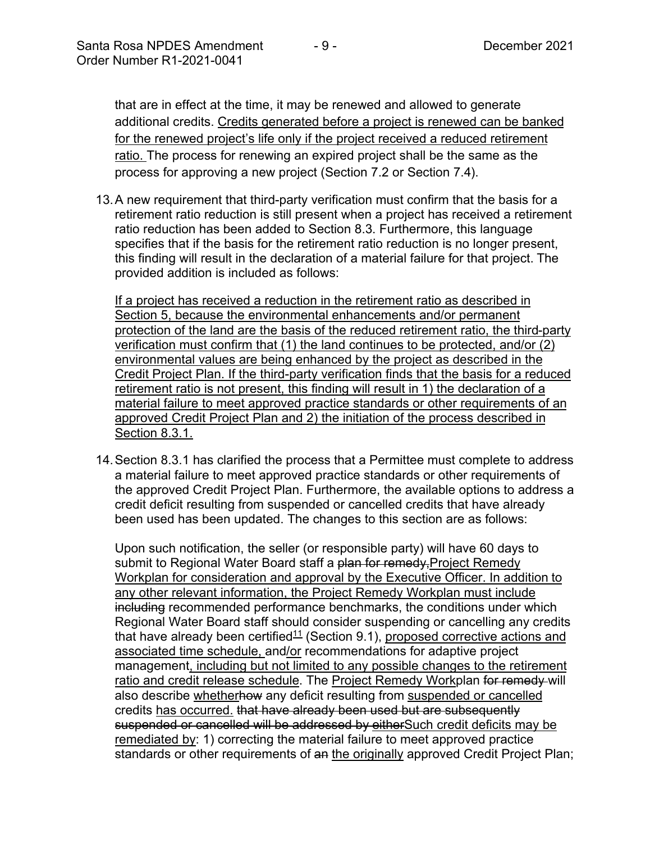that are in effect at the time, it may be renewed and allowed to generate additional credits. Credits generated before a project is renewed can be banked for the renewed project's life only if the project received a reduced retirement ratio. The process for renewing an expired project shall be the same as the process for approving a new project (Section 7.2 or Section 7.4).

13.A new requirement that third-party verification must confirm that the basis for a retirement ratio reduction is still present when a project has received a retirement ratio reduction has been added to Section 8.3. Furthermore, this language specifies that if the basis for the retirement ratio reduction is no longer present, this finding will result in the declaration of a material failure for that project. The provided addition is included as follows:

If a project has received a reduction in the retirement ratio as described in Section 5, because the environmental enhancements and/or permanent protection of the land are the basis of the reduced retirement ratio, the third-party verification must confirm that (1) the land continues to be protected, and/or (2) environmental values are being enhanced by the project as described in the Credit Project Plan. If the third-party verification finds that the basis for a reduced retirement ratio is not present, this finding will result in 1) the declaration of a material failure to meet approved practice standards or other requirements of an approved Credit Project Plan and 2) the initiation of the process described in Section 8.3.1.

14.Section 8.3.1 has clarified the process that a Permittee must complete to address a material failure to meet approved practice standards or other requirements of the approved Credit Project Plan. Furthermore, the available options to address a credit deficit resulting from suspended or cancelled credits that have already been used has been updated. The changes to this section are as follows:

Upon such notification, the seller (or responsible party) will have 60 days to submit to Regional Water Board staff a plan for remedy, Project Remedy Workplan for consideration and approval by the Executive Officer. In addition to any other relevant information, the Project Remedy Workplan must include including recommended performance benchmarks, the conditions under which Regional Water Board staff should consider suspending or cancelling any credits that have already been certified<sup>11</sup> (Section 9.1), proposed corrective actions and associated time schedule, and/or recommendations for adaptive project management, including but not limited to any possible changes to the retirement ratio and credit release schedule. The Project Remedy Workplan for remedy will also describe whetherhow any deficit resulting from suspended or cancelled credits has occurred. that have already been used but are subsequently suspended or cancelled will be addressed by eitherSuch credit deficits may be remediated by: 1) correcting the material failure to meet approved practice standards or other requirements of an the originally approved Credit Project Plan;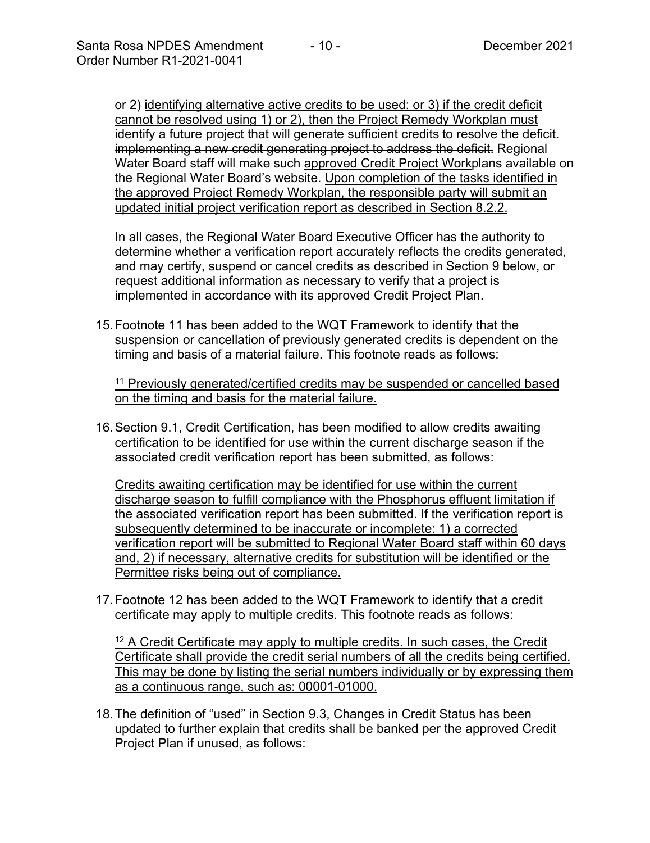or 2) identifying alternative active credits to be used; or 3) if the credit deficit cannot be resolved using 1) or 2), then the Project Remedy Workplan must identify a future project that will generate sufficient credits to resolve the deficit. implementing a new credit generating project to address the deficit. Regional Water Board staff will make such approved Credit Project Workplans available on the Regional Water Board's website. Upon completion of the tasks identified in the approved Project Remedy Workplan, the responsible party will submit an updated initial project verification report as described in Section 8.2.2.

In all cases, the Regional Water Board Executive Officer has the authority to determine whether a verification report accurately reflects the credits generated, and may certify, suspend or cancel credits as described in Section 9 below, or request additional information as necessary to verify that a project is implemented in accordance with its approved Credit Project Plan.

15.Footnote 11 has been added to the WQT Framework to identify that the suspension or cancellation of previously generated credits is dependent on the timing and basis of a material failure. This footnote reads as follows:

<sup>11</sup> Previously generated/certified credits may be suspended or cancelled based on the timing and basis for the material failure.

16.Section 9.1, Credit Certification, has been modified to allow credits awaiting certification to be identified for use within the current discharge season if the associated credit verification report has been submitted, as follows:

Credits awaiting certification may be identified for use within the current discharge season to fulfill compliance with the Phosphorus effluent limitation if the associated verification report has been submitted. If the verification report is subsequently determined to be inaccurate or incomplete: 1) a corrected verification report will be submitted to Regional Water Board staff within 60 days and, 2) if necessary, alternative credits for substitution will be identified or the Permittee risks being out of compliance.

17.Footnote 12 has been added to the WQT Framework to identify that a credit certificate may apply to multiple credits. This footnote reads as follows:

<sup>12</sup> A Credit Certificate may apply to multiple credits. In such cases, the Credit Certificate shall provide the credit serial numbers of all the credits being certified. This may be done by listing the serial numbers individually or by expressing them as a continuous range, such as: 00001-01000.

18.The definition of "used" in Section 9.3, Changes in Credit Status has been updated to further explain that credits shall be banked per the approved Credit Project Plan if unused, as follows: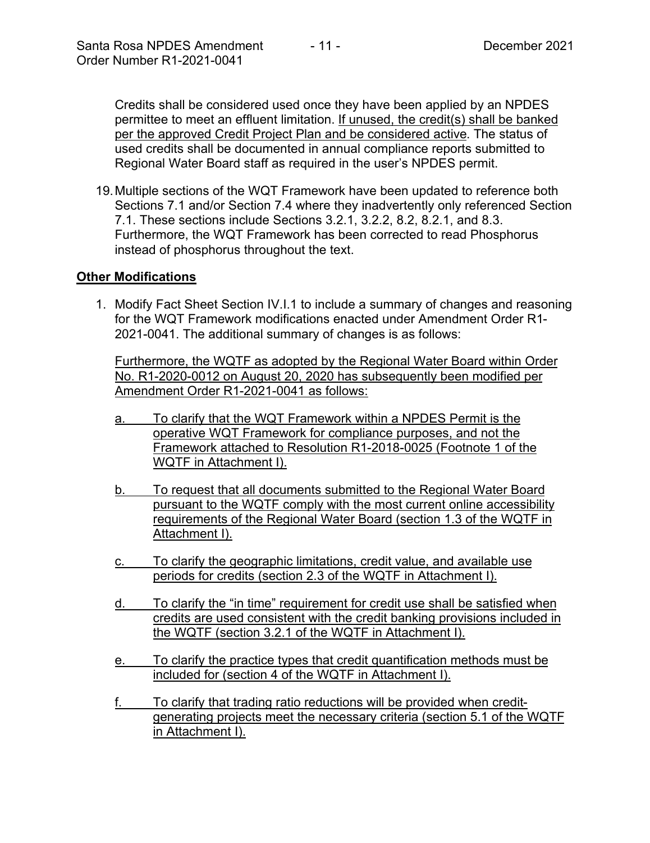Credits shall be considered used once they have been applied by an NPDES permittee to meet an effluent limitation. If unused, the credit(s) shall be banked per the approved Credit Project Plan and be considered active. The status of used credits shall be documented in annual compliance reports submitted to Regional Water Board staff as required in the user's NPDES permit.

19.Multiple sections of the WQT Framework have been updated to reference both Sections 7.1 and/or Section 7.4 where they inadvertently only referenced Section 7.1. These sections include Sections 3.2.1, 3.2.2, 8.2, 8.2.1, and 8.3. Furthermore, the WQT Framework has been corrected to read Phosphorus instead of phosphorus throughout the text.

## **Other Modifications**

1. Modify Fact Sheet Section IV.I.1 to include a summary of changes and reasoning for the WQT Framework modifications enacted under Amendment Order R1- 2021-0041. The additional summary of changes is as follows:

Furthermore, the WQTF as adopted by the Regional Water Board within Order No. R1-2020-0012 on August 20, 2020 has subsequently been modified per Amendment Order R1-2021-0041 as follows:

- a. To clarify that the WQT Framework within a NPDES Permit is the operative WQT Framework for compliance purposes, and not the Framework attached to Resolution R1-2018-0025 (Footnote 1 of the WQTF in Attachment I).
- b. To request that all documents submitted to the Regional Water Board pursuant to the WQTF comply with the most current online accessibility requirements of the Regional Water Board (section 1.3 of the WQTF in Attachment I).
- c. To clarify the geographic limitations, credit value, and available use periods for credits (section 2.3 of the WQTF in Attachment I).
- d. To clarify the "in time" requirement for credit use shall be satisfied when credits are used consistent with the credit banking provisions included in the WQTF (section 3.2.1 of the WQTF in Attachment I).
- e. To clarify the practice types that credit quantification methods must be included for (section 4 of the WQTF in Attachment I).
- f. To clarify that trading ratio reductions will be provided when creditgenerating projects meet the necessary criteria (section 5.1 of the WQTF in Attachment I).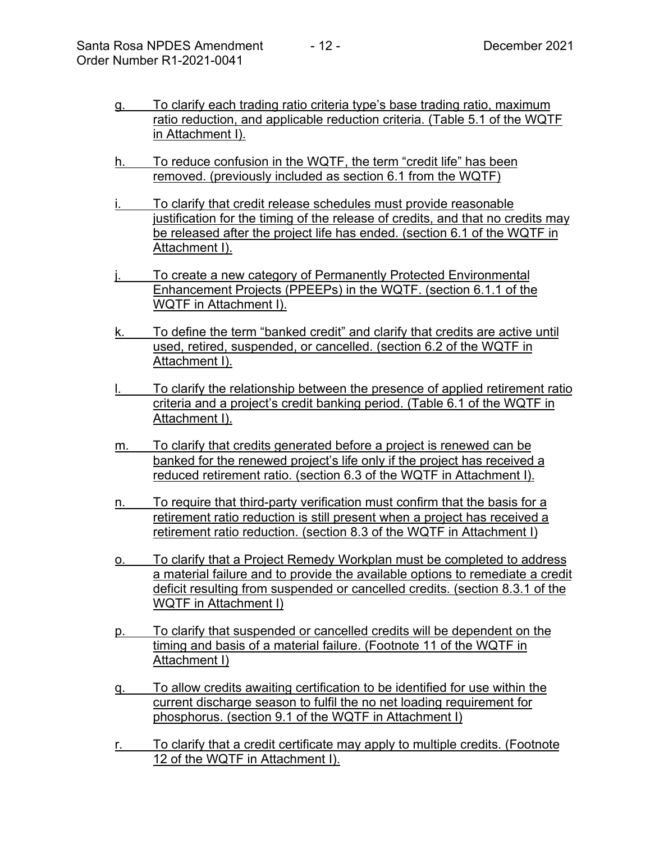- g. To clarify each trading ratio criteria type's base trading ratio, maximum ratio reduction, and applicable reduction criteria. (Table 5.1 of the WQTF in Attachment I).
- h. To reduce confusion in the WQTF, the term "credit life" has been removed. (previously included as section 6.1 from the WQTF)
- To clarify that credit release schedules must provide reasonable justification for the timing of the release of credits, and that no credits may be released after the project life has ended. (section 6.1 of the WQTF in Attachment I).
- To create a new category of Permanently Protected Environmental Enhancement Projects (PPEEPs) in the WQTF. (section 6.1.1 of the WQTF in Attachment I).
- k. To define the term "banked credit" and clarify that credits are active until used, retired, suspended, or cancelled. (section 6.2 of the WQTF in Attachment I).
- To clarify the relationship between the presence of applied retirement ratio criteria and a project's credit banking period. (Table 6.1 of the WQTF in Attachment I).
- m. To clarify that credits generated before a project is renewed can be banked for the renewed project's life only if the project has received a reduced retirement ratio. (section 6.3 of the WQTF in Attachment I).
- n. To require that third-party verification must confirm that the basis for a retirement ratio reduction is still present when a project has received a retirement ratio reduction. (section 8.3 of the WQTF in Attachment I)
- o. To clarify that a Project Remedy Workplan must be completed to address a material failure and to provide the available options to remediate a credit deficit resulting from suspended or cancelled credits. (section 8.3.1 of the WQTF in Attachment I)
- p. To clarify that suspended or cancelled credits will be dependent on the timing and basis of a material failure. (Footnote 11 of the WQTF in Attachment I)
- q. To allow credits awaiting certification to be identified for use within the current discharge season to fulfil the no net loading requirement for phosphorus. (section 9.1 of the WQTF in Attachment I)
- r. To clarify that a credit certificate may apply to multiple credits. (Footnote 12 of the WQTF in Attachment I).